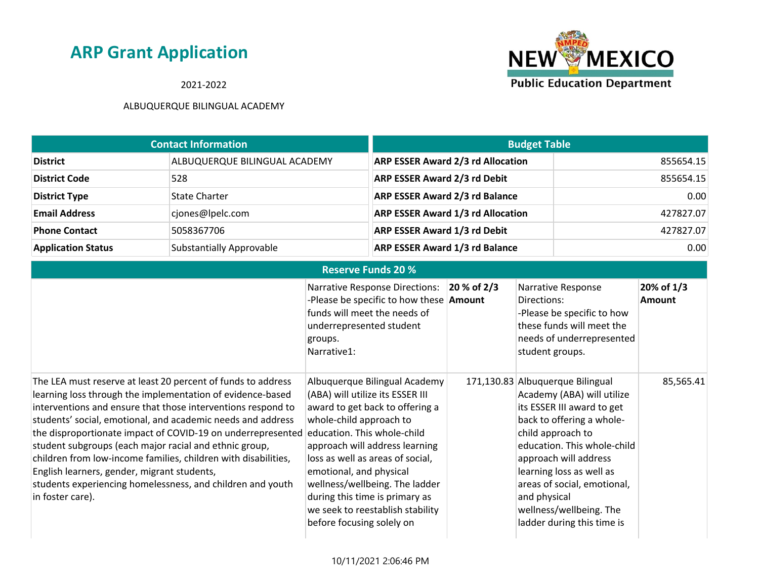2021-2022



| <b>Contact Information</b> |                               | <b>Budget Table</b>                      |           |
|----------------------------|-------------------------------|------------------------------------------|-----------|
| <b>District</b>            | ALBUQUERQUE BILINGUAL ACADEMY | <b>ARP ESSER Award 2/3 rd Allocation</b> | 855654.15 |
| <b>District Code</b>       | 528                           | ARP ESSER Award 2/3 rd Debit             | 855654.15 |
| <b>District Type</b>       | <b>State Charter</b>          | <b>ARP ESSER Award 2/3 rd Balance</b>    | 0.00      |
| <b>Email Address</b>       | cjones@lpelc.com              | <b>ARP ESSER Award 1/3 rd Allocation</b> | 427827.07 |
| <b>Phone Contact</b>       | 5058367706                    | <b>ARP ESSER Award 1/3 rd Debit</b>      | 427827.07 |
| <b>Application Status</b>  | Substantially Approvable      | <b>ARP ESSER Award 1/3 rd Balance</b>    | 0.00      |

| <b>Reserve Funds 20 %</b>                                                                                                                                                                                                                                                                                                                                                                                                                                                                                                                                                             |                                                                                                                                                                                                                                                                                                                                                                                                      |             |                                                                                                                                                                                                                                                                                                                                            |                             |
|---------------------------------------------------------------------------------------------------------------------------------------------------------------------------------------------------------------------------------------------------------------------------------------------------------------------------------------------------------------------------------------------------------------------------------------------------------------------------------------------------------------------------------------------------------------------------------------|------------------------------------------------------------------------------------------------------------------------------------------------------------------------------------------------------------------------------------------------------------------------------------------------------------------------------------------------------------------------------------------------------|-------------|--------------------------------------------------------------------------------------------------------------------------------------------------------------------------------------------------------------------------------------------------------------------------------------------------------------------------------------------|-----------------------------|
|                                                                                                                                                                                                                                                                                                                                                                                                                                                                                                                                                                                       | <b>Narrative Response Directions:</b><br>-Please be specific to how these <b>Amount</b><br>funds will meet the needs of<br>underrepresented student<br>groups.<br>Narrative1:                                                                                                                                                                                                                        | 20 % of 2/3 | Narrative Response<br>Directions:<br>-Please be specific to how<br>these funds will meet the<br>needs of underrepresented<br>student groups.                                                                                                                                                                                               | 20% of 1/3<br><b>Amount</b> |
| The LEA must reserve at least 20 percent of funds to address<br>learning loss through the implementation of evidence-based<br>interventions and ensure that those interventions respond to<br>students' social, emotional, and academic needs and address<br>the disproportionate impact of COVID-19 on underrepresented<br>student subgroups (each major racial and ethnic group,<br>children from low-income families, children with disabilities,<br>English learners, gender, migrant students,<br>students experiencing homelessness, and children and youth<br>in foster care). | Albuquerque Bilingual Academy<br>(ABA) will utilize its ESSER III<br>award to get back to offering a<br>whole-child approach to<br>education. This whole-child<br>approach will address learning<br>loss as well as areas of social,<br>emotional, and physical<br>wellness/wellbeing. The ladder<br>during this time is primary as<br>we seek to reestablish stability<br>before focusing solely on |             | 171,130.83 Albuquerque Bilingual<br>Academy (ABA) will utilize<br>its ESSER III award to get<br>back to offering a whole-<br>child approach to<br>education. This whole-child<br>approach will address<br>learning loss as well as<br>areas of social, emotional,<br>and physical<br>wellness/wellbeing. The<br>ladder during this time is | 85,565.41                   |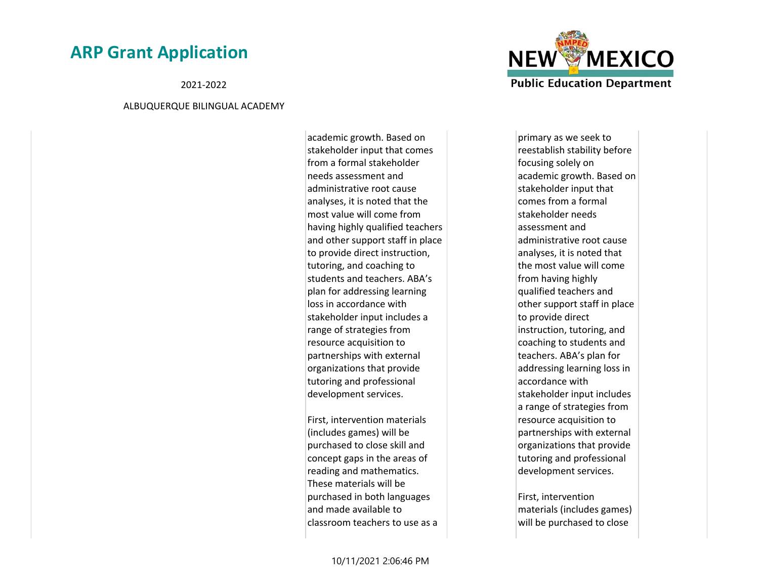2021-2022

#### ALBUQUERQUE BILINGUAL ACADEMY

academic growth. Based on stakeholder input that comes from a formal stakeholder needs assessment and administrative root cause analyses, it is noted that the most value will come from having highly qualified teachers and other support staff in place to provide direct instruction, tutoring, and coaching to students and teachers. ABA's plan for addressing learning loss in accordance with stakeholder input includes a range of strategies from resource acquisition to partnerships with external organizations that provide tutoring and professional development services.

First, intervention materials (includes games) will be purchased to close skill and concept gaps in the areas of reading and mathematics. These materials will be purchased in both languages and made available to classroom teachers to use as a



primary as we seek to reestablish stability before focusing solely on academic growth. Based on stakeholder input that comes from a formal stakeholder needs assessment and administrative root cause analyses, it is noted that the most value will come from having highly qualified teachers and other support staff in place to provide direct instruction, tutoring, and coaching to students and teachers. ABA's plan for addressing learning loss in accordance with stakeholder input includes a range of strategies from resource acquisition to partnerships with external organizations that provide tutoring and professional development services.

First, intervention materials (includes games) will be purchased to close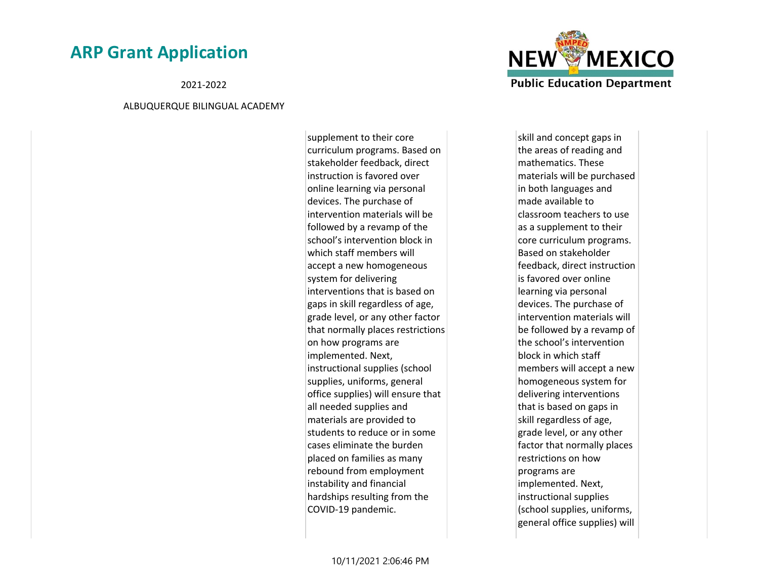2021-2022

#### ALBUQUERQUE BILINGUAL ACADEMY

supplement to their core curriculum programs. Based on stakeholder feedback, direct instruction is favored over online learning via personal devices. The purchase of intervention materials will be followed by a revamp of the school's intervention block in which staff members will accept a new homogeneous system for delivering interventions that is based on gaps in skill regardless of age, grade level, or any other factor that normally places restrictions on how programs are implemented. Next, instructional supplies (school supplies, uniforms, general office supplies) will ensure that all needed supplies and materials are provided to students to reduce or in some cases eliminate the burden placed on families as many rebound from employment instability and financial hardships resulting from the COVID-19 pandemic.



skill and concept gaps in the areas of reading and mathematics. These materials will be purchased in both languages and made available to classroom teachers to use as a supplement to their core curriculum programs. Based on stakeholder feedback, direct instruction is favored over online learning via personal devices. The purchase of intervention materials will be followed by a revamp of the school's intervention block in which staff members will accept a new homogeneous system for delivering interventions that is based on gaps in skill regardless of age, grade level, or any other factor that normally places restrictions on how programs are implemented. Next, instructional supplies (school supplies, uniforms, general office supplies) will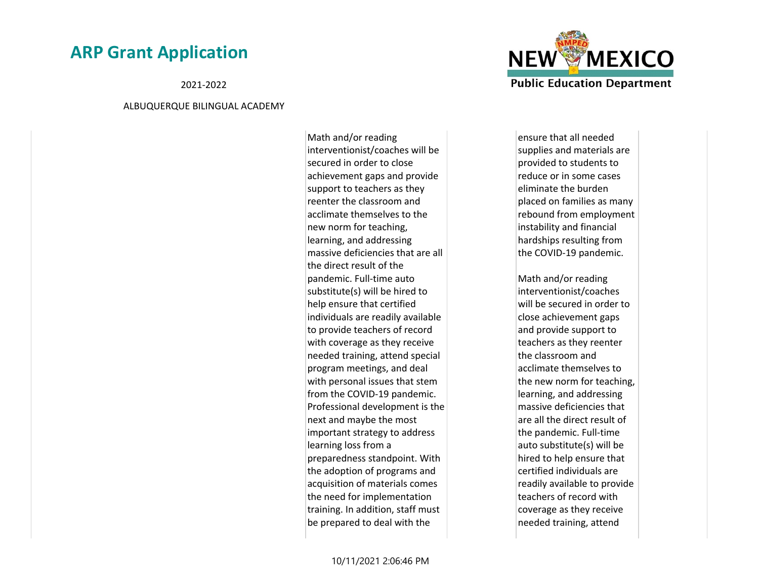2021-2022

#### ALBUQUERQUE BILINGUAL ACADEMY

Math and/or reading interventionist/coaches will be secured in order to close achievement gaps and provide support to teachers as they reenter the classroom and acclimate themselves to the new norm for teaching, learning, and addressing massive deficiencies that are all the direct result of the pandemic. Full-time auto substitute(s) will be hired to help ensure that certified individuals are readily available to provide teachers of record with coverage as they receive needed training, attend special program meetings, and deal with personal issues that stem from the COVID-19 pandemic. Professional development is the next and maybe the most important strategy to address learning loss from a preparedness standpoint. With the adoption of programs and acquisition of materials comes the need for implementation training. In addition, staff must be prepared to deal with the



ensure that all needed supplies and materials are provided to students to reduce or in some cases eliminate the burden placed on families as many rebound from employment instability and financial hardships resulting from the COVID-19 pandemic.

Math and/or reading interventionist/coaches will be secured in order to close achievement gaps and provide support to teachers as they reenter the classroom and acclimate themselves to the new norm for teaching, learning, and addressing massive deficiencies that are all the direct result of the pandemic. Full-time auto substitute(s) will be hired to help ensure that certified individuals are readily available to provide teachers of record with coverage as they receive needed training, attend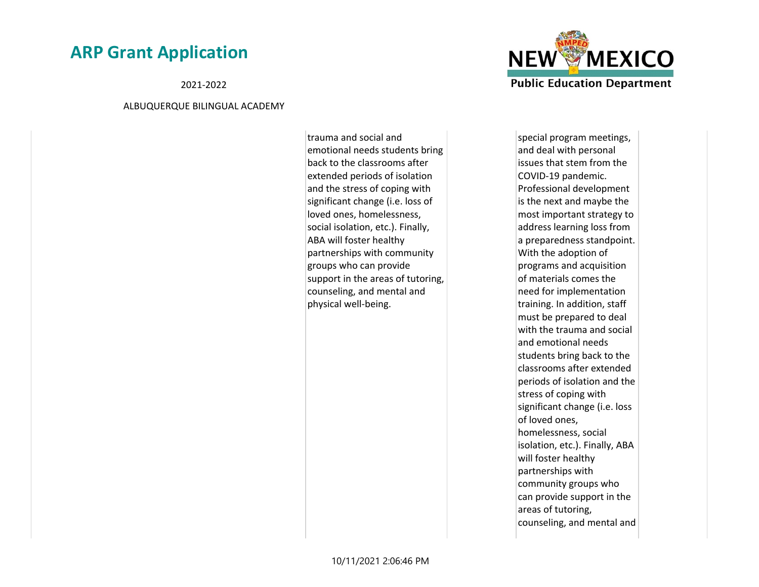2021-2022

#### ALBUQUERQUE BILINGUAL ACADEMY

trauma and social and emotional needs students bring back to the classrooms after extended periods of isolation and the stress of coping with significant change (i.e. loss of loved ones, homelessness, social isolation, etc.). Finally, ABA will foster healthy partnerships with community groups who can provide support in the areas of tutoring, counseling, and mental and physical well-being.



special program meetings, and deal with personal issues that stem from the COVID-19 pandemic. Professional development is the next and maybe the most important strategy to address learning loss from a preparedness standpoint. With the adoption of programs and acquisition of materials comes the need for implementation training. In addition, staff must be prepared to deal with the trauma and social and emotional needs students bring back to the classrooms after extended periods of isolation and the stress of coping with significant change (i.e. loss of loved ones, homelessness, social isolation, etc.). Finally, ABA will foster healthy partnerships with community groups who can provide support in the areas of tutoring, counseling, and mental and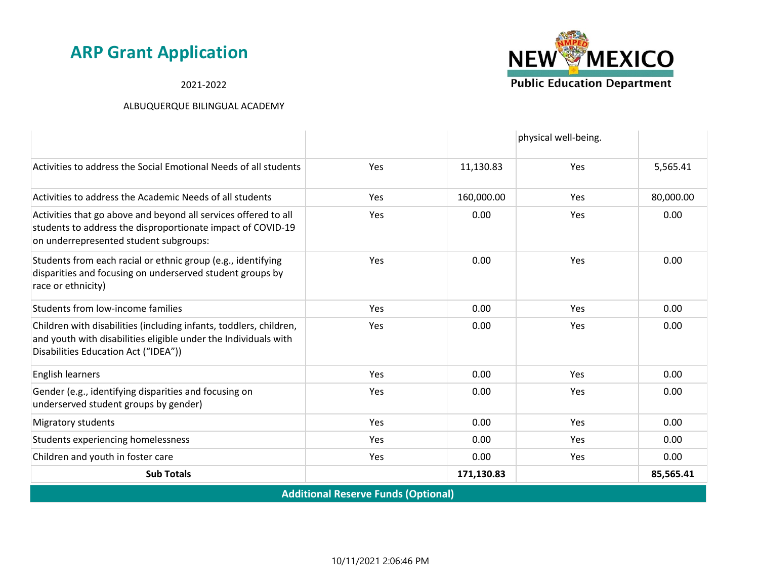2021-2022

|                                                                                                                                                                               |            |            | physical well-being. |           |  |
|-------------------------------------------------------------------------------------------------------------------------------------------------------------------------------|------------|------------|----------------------|-----------|--|
| Activities to address the Social Emotional Needs of all students                                                                                                              | Yes        | 11,130.83  | Yes                  | 5,565.41  |  |
| Activities to address the Academic Needs of all students                                                                                                                      | Yes        | 160,000.00 | Yes                  | 80,000.00 |  |
| Activities that go above and beyond all services offered to all<br>students to address the disproportionate impact of COVID-19<br>on underrepresented student subgroups:      | <b>Yes</b> | 0.00       | Yes                  | 0.00      |  |
| Students from each racial or ethnic group (e.g., identifying<br>disparities and focusing on underserved student groups by<br>race or ethnicity)                               | Yes        | 0.00       | Yes                  | 0.00      |  |
| Students from low-income families                                                                                                                                             | <b>Yes</b> | 0.00       | <b>Yes</b>           | 0.00      |  |
| Children with disabilities (including infants, toddlers, children,<br>and youth with disabilities eligible under the Individuals with<br>Disabilities Education Act ("IDEA")) | Yes        | 0.00       | Yes                  | 0.00      |  |
| English learners                                                                                                                                                              | <b>Yes</b> | 0.00       | Yes                  | 0.00      |  |
| Gender (e.g., identifying disparities and focusing on<br>underserved student groups by gender)                                                                                | Yes        | 0.00       | Yes                  | 0.00      |  |
| Migratory students                                                                                                                                                            | <b>Yes</b> | 0.00       | Yes                  | 0.00      |  |
| Students experiencing homelessness                                                                                                                                            | Yes        | 0.00       | Yes                  | 0.00      |  |
| Children and youth in foster care                                                                                                                                             | Yes        | 0.00       | <b>Yes</b>           | 0.00      |  |
| <b>Sub Totals</b>                                                                                                                                                             |            | 171,130.83 |                      | 85,565.41 |  |
| <b>Additional Reserve Funds (Optional)</b>                                                                                                                                    |            |            |                      |           |  |

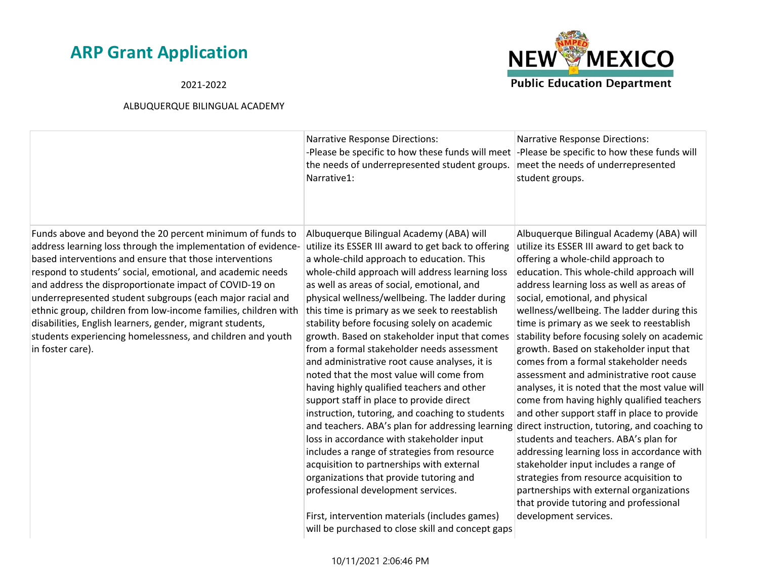### 2021-2022



|                                                                                                                                                                                                                                                                                                                                                                                                                                                                                                                                                                                             | <b>Narrative Response Directions:</b><br>-Please be specific to how these funds will meet<br>the needs of underrepresented student groups.<br>Narrative1:                                                                                                                                                                                                                                                                                                                                                                                                                                                                                                                                                                                                                                                                                                                                                                                                                                                                                                                                                                        | <b>Narrative Response Directions:</b><br>-Please be specific to how these funds will<br>meet the needs of underrepresented<br>student groups.                                                                                                                                                                                                                                                                                                                                                                                                                                                                                                                                                                                                                                                                                                                                                                                                                                                                                   |
|---------------------------------------------------------------------------------------------------------------------------------------------------------------------------------------------------------------------------------------------------------------------------------------------------------------------------------------------------------------------------------------------------------------------------------------------------------------------------------------------------------------------------------------------------------------------------------------------|----------------------------------------------------------------------------------------------------------------------------------------------------------------------------------------------------------------------------------------------------------------------------------------------------------------------------------------------------------------------------------------------------------------------------------------------------------------------------------------------------------------------------------------------------------------------------------------------------------------------------------------------------------------------------------------------------------------------------------------------------------------------------------------------------------------------------------------------------------------------------------------------------------------------------------------------------------------------------------------------------------------------------------------------------------------------------------------------------------------------------------|---------------------------------------------------------------------------------------------------------------------------------------------------------------------------------------------------------------------------------------------------------------------------------------------------------------------------------------------------------------------------------------------------------------------------------------------------------------------------------------------------------------------------------------------------------------------------------------------------------------------------------------------------------------------------------------------------------------------------------------------------------------------------------------------------------------------------------------------------------------------------------------------------------------------------------------------------------------------------------------------------------------------------------|
| Funds above and beyond the 20 percent minimum of funds to<br>address learning loss through the implementation of evidence-<br>based interventions and ensure that those interventions<br>respond to students' social, emotional, and academic needs<br>and address the disproportionate impact of COVID-19 on<br>underrepresented student subgroups (each major racial and<br>ethnic group, children from low-income families, children with<br>disabilities, English learners, gender, migrant students,<br>students experiencing homelessness, and children and youth<br>in foster care). | Albuquerque Bilingual Academy (ABA) will<br>utilize its ESSER III award to get back to offering<br>a whole-child approach to education. This<br>whole-child approach will address learning loss<br>as well as areas of social, emotional, and<br>physical wellness/wellbeing. The ladder during<br>this time is primary as we seek to reestablish<br>stability before focusing solely on academic<br>growth. Based on stakeholder input that comes<br>from a formal stakeholder needs assessment<br>and administrative root cause analyses, it is<br>noted that the most value will come from<br>having highly qualified teachers and other<br>support staff in place to provide direct<br>instruction, tutoring, and coaching to students<br>and teachers. ABA's plan for addressing learning<br>loss in accordance with stakeholder input<br>includes a range of strategies from resource<br>acquisition to partnerships with external<br>organizations that provide tutoring and<br>professional development services.<br>First, intervention materials (includes games)<br>will be purchased to close skill and concept gaps | Albuquerque Bilingual Academy (ABA) will<br>utilize its ESSER III award to get back to<br>offering a whole-child approach to<br>education. This whole-child approach will<br>address learning loss as well as areas of<br>social, emotional, and physical<br>wellness/wellbeing. The ladder during this<br>time is primary as we seek to reestablish<br>stability before focusing solely on academic<br>growth. Based on stakeholder input that<br>comes from a formal stakeholder needs<br>assessment and administrative root cause<br>analyses, it is noted that the most value will<br>come from having highly qualified teachers<br>and other support staff in place to provide<br>direct instruction, tutoring, and coaching to<br>students and teachers. ABA's plan for<br>addressing learning loss in accordance with<br>stakeholder input includes a range of<br>strategies from resource acquisition to<br>partnerships with external organizations<br>that provide tutoring and professional<br>development services. |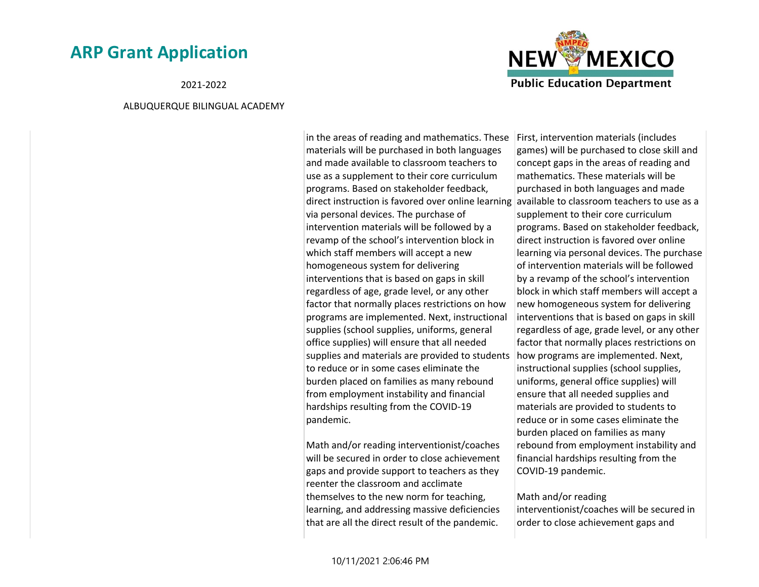2021-2022

#### ALBUQUERQUE BILINGUAL ACADEMY



in the areas of reading and mathematics. These materials will be purchased in both languages and made available to classroom teachers to use as a supplement to their core curriculum programs. Based on stakeholder feedback, direct instruction is favored over online learning available to classroom teachers to use as a via personal devices. The purchase of intervention materials will be followed by a revamp of the school's intervention block in which staff members will accept a new homogeneous system for delivering interventions that is based on gaps in skill regardless of age, grade level, or any other factor that normally places restrictions on how programs are implemented. Next, instructional supplies (school supplies, uniforms, general office supplies) will ensure that all needed supplies and materials are provided to students to reduce or in some cases eliminate the burden placed on families as many rebound from employment instability and financial hardships resulting from the COVID-19 pandemic.

Math and/or reading interventionist/coaches will be secured in order to close achievement gaps and provide support to teachers as they reenter the classroom and acclimate themselves to the new norm for teaching, learning, and addressing massive deficiencies that are all the direct result of the pandemic.

First, intervention materials (includes games) will be purchased to close skill and concept gaps in the areas of reading and mathematics. These materials will be purchased in both languages and made supplement to their core curriculum programs. Based on stakeholder feedback, direct instruction is favored over online learning via personal devices. The purchase of intervention materials will be followed by a revamp of the school's intervention block in which staff members will accept a new homogeneous system for delivering interventions that is based on gaps in skill regardless of age, grade level, or any other factor that normally places restrictions on how programs are implemented. Next, instructional supplies (school supplies, uniforms, general office supplies) will ensure that all needed supplies and materials are provided to students to reduce or in some cases eliminate the burden placed on families as many rebound from employment instability and financial hardships resulting from the COVID-19 pandemic.

#### Math and/or reading

interventionist/coaches will be secured in order to close achievement gaps and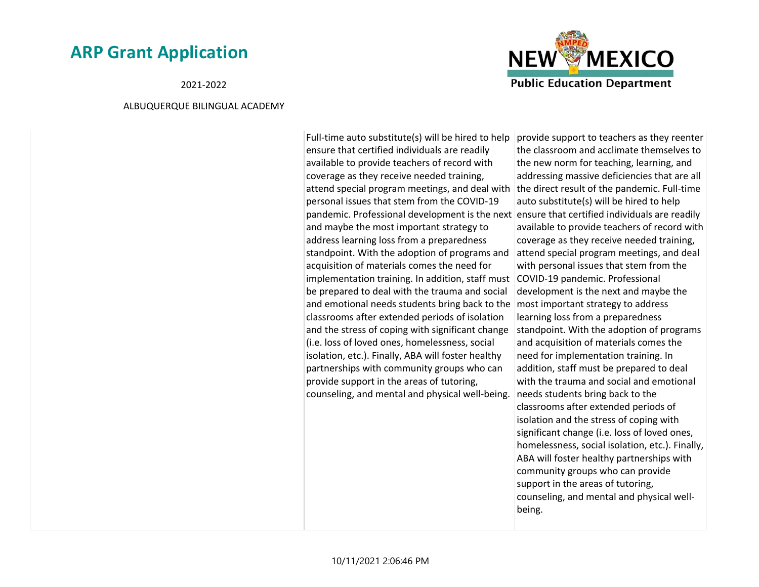2021-2022

#### ALBUQUERQUE BILINGUAL ACADEMY

Full-time auto substitute(s) will be hired to help ensure that certified individuals are readily available to provide teachers of record with coverage as they receive needed training, attend special program meetings, and deal with personal issues that stem from the COVID-19 pandemic. Professional development is the next ensure that certified individuals are readily and maybe the most important strategy to address learning loss from a preparedness standpoint. With the adoption of programs and acquisition of materials comes the need for implementation training. In addition, staff must COVID-19 pandemic. Professional be prepared to deal with the trauma and social and emotional needs students bring back to the classrooms after extended periods of isolation and the stress of coping with significant change (i.e. loss of loved ones, homelessness, social isolation, etc.). Finally, ABA will foster healthy partnerships with community groups who can provide support in the areas of tutoring, counseling, and mental and physical well-being.

provide support to teachers as they reenter the classroom and acclimate themselves to the new norm for teaching, learning, and addressing massive deficiencies that are all the direct result of the pandemic. Full-time auto substitute(s) will be hired to help available to provide teachers of record with coverage as they receive needed training, attend special program meetings, and deal with personal issues that stem from the development is the next and maybe the most important strategy to address learning loss from a preparedness standpoint. With the adoption of programs and acquisition of materials comes the need for implementation training. In addition, staff must be prepared to deal with the trauma and social and emotional needs students bring back to the classrooms after extended periods of isolation and the stress of coping with significant change (i.e. loss of loved ones, homelessness, social isolation, etc.). Finally, ABA will foster healthy partnerships with community groups who can provide support in the areas of tutoring, counseling, and mental and physical wellbeing.

**NEW MEXICO** 

**Public Education Department**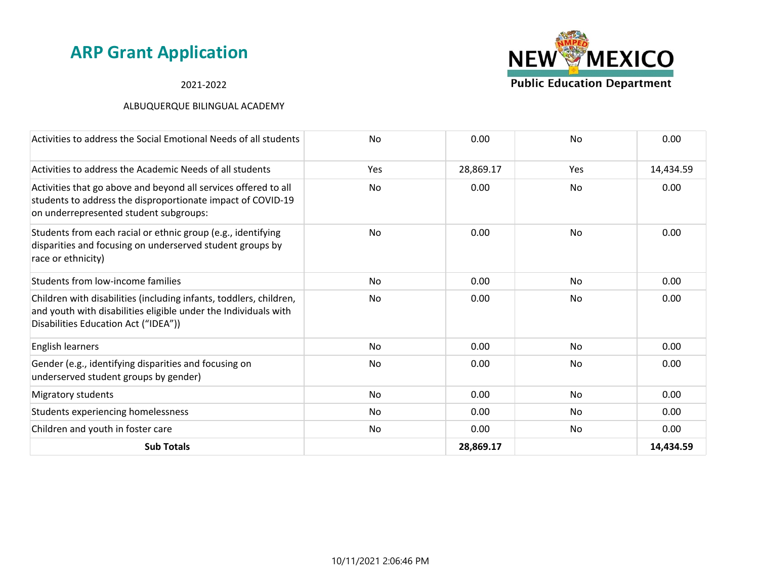### 2021-2022



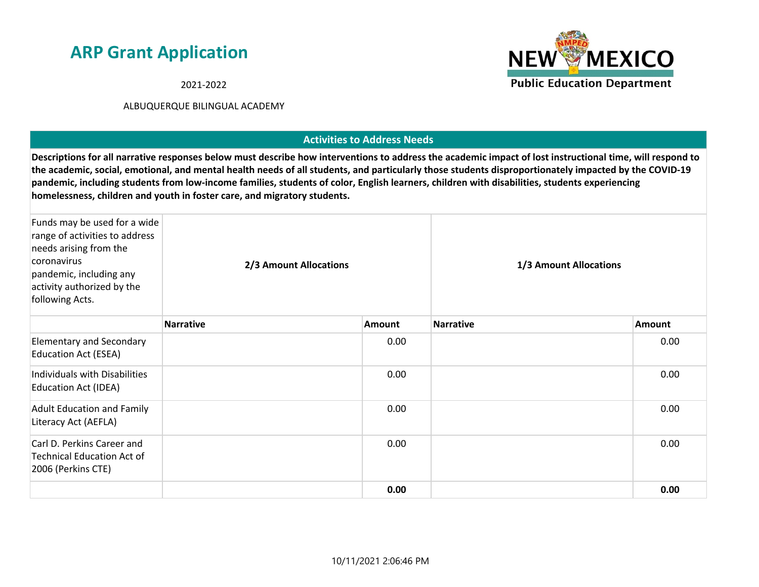2021-2022

#### ALBUQUERQUE BILINGUAL ACADEMY

### **Activities to Address Needs**

**Descriptions for all narrative responses below must describe how interventions to address the academic impact of lost instructional time, will respond to the academic, social, emotional, and mental health needs of all students, and particularly those students disproportionately impacted by the COVID-19 pandemic, including students from low-income families, students of color, English learners, children with disabilities, students experiencing homelessness, children and youth in foster care, and migratory students.**

| Funds may be used for a wide<br>range of activities to address<br>needs arising from the<br>coronavirus<br>pandemic, including any<br>activity authorized by the<br>following Acts. | 2/3 Amount Allocations |               | 1/3 Amount Allocations |        |
|-------------------------------------------------------------------------------------------------------------------------------------------------------------------------------------|------------------------|---------------|------------------------|--------|
|                                                                                                                                                                                     | <b>Narrative</b>       | <b>Amount</b> | <b>Narrative</b>       | Amount |
| <b>Elementary and Secondary</b><br><b>Education Act (ESEA)</b>                                                                                                                      |                        | 0.00          |                        | 0.00   |
| Individuals with Disabilities<br><b>Education Act (IDEA)</b>                                                                                                                        |                        | 0.00          |                        | 0.00   |
| <b>Adult Education and Family</b><br>Literacy Act (AEFLA)                                                                                                                           |                        | 0.00          |                        | 0.00   |
| Carl D. Perkins Career and<br><b>Technical Education Act of</b><br>2006 (Perkins CTE)                                                                                               |                        | 0.00          |                        | 0.00   |
|                                                                                                                                                                                     |                        | 0.00          |                        | 0.00   |

10/11/2021 2:06:46 PM

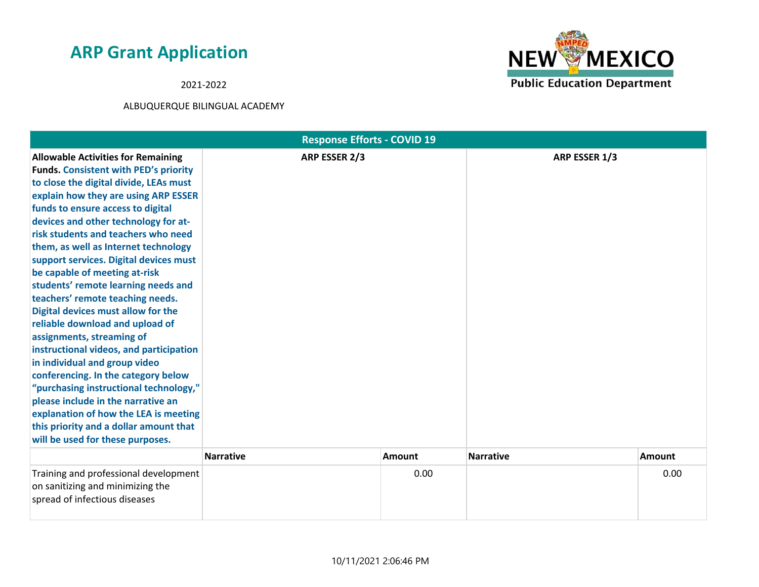2021-2022



|                                                                                                                                                                                                                                                                                                                                                                                                                                                                                                                                                                                                                                                                                                                                                                                                                                                                                                                               | <b>Response Efforts - COVID 19</b> |               |                  |        |
|-------------------------------------------------------------------------------------------------------------------------------------------------------------------------------------------------------------------------------------------------------------------------------------------------------------------------------------------------------------------------------------------------------------------------------------------------------------------------------------------------------------------------------------------------------------------------------------------------------------------------------------------------------------------------------------------------------------------------------------------------------------------------------------------------------------------------------------------------------------------------------------------------------------------------------|------------------------------------|---------------|------------------|--------|
| <b>Allowable Activities for Remaining</b><br><b>Funds. Consistent with PED's priority</b><br>to close the digital divide, LEAs must<br>explain how they are using ARP ESSER<br>funds to ensure access to digital<br>devices and other technology for at-<br>risk students and teachers who need<br>them, as well as Internet technology<br>support services. Digital devices must<br>be capable of meeting at-risk<br>students' remote learning needs and<br>teachers' remote teaching needs.<br>Digital devices must allow for the<br>reliable download and upload of<br>assignments, streaming of<br>instructional videos, and participation<br>in individual and group video<br>conferencing. In the category below<br>"purchasing instructional technology,"<br>please include in the narrative an<br>explanation of how the LEA is meeting<br>this priority and a dollar amount that<br>will be used for these purposes. | ARP ESSER 2/3                      |               | ARP ESSER 1/3    |        |
|                                                                                                                                                                                                                                                                                                                                                                                                                                                                                                                                                                                                                                                                                                                                                                                                                                                                                                                               | <b>Narrative</b>                   | <b>Amount</b> | <b>Narrative</b> | Amount |
| Training and professional development<br>on sanitizing and minimizing the<br>spread of infectious diseases                                                                                                                                                                                                                                                                                                                                                                                                                                                                                                                                                                                                                                                                                                                                                                                                                    |                                    | 0.00          |                  | 0.00   |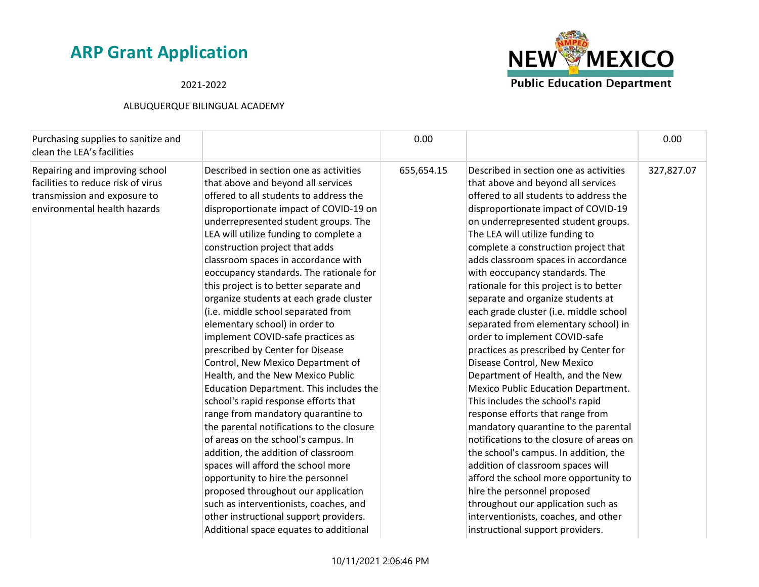2021-2022



| Purchasing supplies to sanitize and<br>clean the LEA's facilities                                                                    |                                                                                                                                                                                                                                                                                                                                                                                                                                                                                                                                                                                                                                                                                                                                                                                                                                                                                                                                                                                                                                                                                                                                                                                            | 0.00       |                                                                                                                                                                                                                                                                                                                                                                                                                                                                                                                                                                                                                                                                                                                                                                                                                                                                                                                                                                                                                                                                                                                                                     | 0.00       |
|--------------------------------------------------------------------------------------------------------------------------------------|--------------------------------------------------------------------------------------------------------------------------------------------------------------------------------------------------------------------------------------------------------------------------------------------------------------------------------------------------------------------------------------------------------------------------------------------------------------------------------------------------------------------------------------------------------------------------------------------------------------------------------------------------------------------------------------------------------------------------------------------------------------------------------------------------------------------------------------------------------------------------------------------------------------------------------------------------------------------------------------------------------------------------------------------------------------------------------------------------------------------------------------------------------------------------------------------|------------|-----------------------------------------------------------------------------------------------------------------------------------------------------------------------------------------------------------------------------------------------------------------------------------------------------------------------------------------------------------------------------------------------------------------------------------------------------------------------------------------------------------------------------------------------------------------------------------------------------------------------------------------------------------------------------------------------------------------------------------------------------------------------------------------------------------------------------------------------------------------------------------------------------------------------------------------------------------------------------------------------------------------------------------------------------------------------------------------------------------------------------------------------------|------------|
| Repairing and improving school<br>facilities to reduce risk of virus<br>transmission and exposure to<br>environmental health hazards | Described in section one as activities<br>that above and beyond all services<br>offered to all students to address the<br>disproportionate impact of COVID-19 on<br>underrepresented student groups. The<br>LEA will utilize funding to complete a<br>construction project that adds<br>classroom spaces in accordance with<br>eoccupancy standards. The rationale for<br>this project is to better separate and<br>organize students at each grade cluster<br>(i.e. middle school separated from<br>elementary school) in order to<br>implement COVID-safe practices as<br>prescribed by Center for Disease<br>Control, New Mexico Department of<br>Health, and the New Mexico Public<br>Education Department. This includes the<br>school's rapid response efforts that<br>range from mandatory quarantine to<br>the parental notifications to the closure<br>of areas on the school's campus. In<br>addition, the addition of classroom<br>spaces will afford the school more<br>opportunity to hire the personnel<br>proposed throughout our application<br>such as interventionists, coaches, and<br>other instructional support providers.<br>Additional space equates to additional | 655,654.15 | Described in section one as activities<br>that above and beyond all services<br>offered to all students to address the<br>disproportionate impact of COVID-19<br>on underrepresented student groups.<br>The LEA will utilize funding to<br>complete a construction project that<br>adds classroom spaces in accordance<br>with eoccupancy standards. The<br>rationale for this project is to better<br>separate and organize students at<br>each grade cluster (i.e. middle school<br>separated from elementary school) in<br>order to implement COVID-safe<br>practices as prescribed by Center for<br>Disease Control, New Mexico<br>Department of Health, and the New<br>Mexico Public Education Department.<br>This includes the school's rapid<br>response efforts that range from<br>mandatory quarantine to the parental<br>notifications to the closure of areas on<br>the school's campus. In addition, the<br>addition of classroom spaces will<br>afford the school more opportunity to<br>hire the personnel proposed<br>throughout our application such as<br>interventionists, coaches, and other<br>instructional support providers. | 327,827.07 |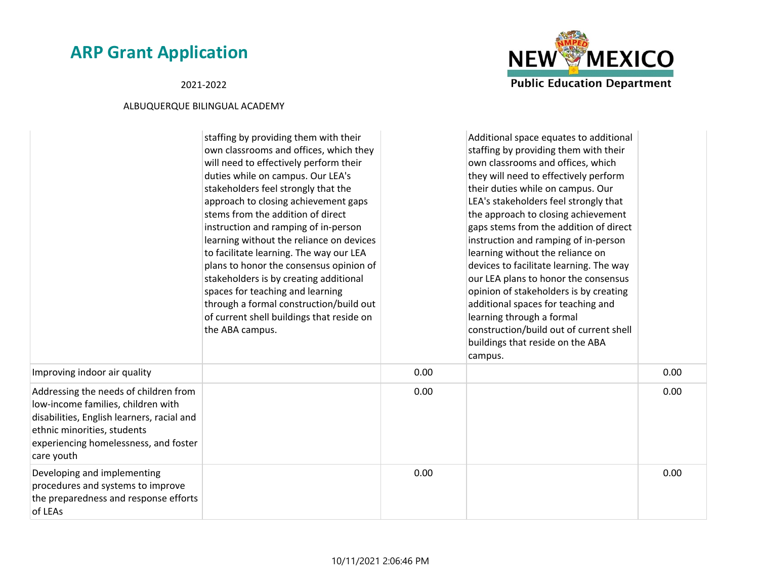### 2021-2022



|                                                                                                                                                                                                                 | staffing by providing them with their<br>own classrooms and offices, which they<br>will need to effectively perform their<br>duties while on campus. Our LEA's<br>stakeholders feel strongly that the<br>approach to closing achievement gaps<br>stems from the addition of direct<br>instruction and ramping of in-person<br>learning without the reliance on devices<br>to facilitate learning. The way our LEA<br>plans to honor the consensus opinion of<br>stakeholders is by creating additional<br>spaces for teaching and learning<br>through a formal construction/build out<br>of current shell buildings that reside on<br>the ABA campus. |      | Additional space equates to additional<br>staffing by providing them with their<br>own classrooms and offices, which<br>they will need to effectively perform<br>their duties while on campus. Our<br>LEA's stakeholders feel strongly that<br>the approach to closing achievement<br>gaps stems from the addition of direct<br>instruction and ramping of in-person<br>learning without the reliance on<br>devices to facilitate learning. The way<br>our LEA plans to honor the consensus<br>opinion of stakeholders is by creating<br>additional spaces for teaching and<br>learning through a formal<br>construction/build out of current shell<br>buildings that reside on the ABA<br>campus. |      |
|-----------------------------------------------------------------------------------------------------------------------------------------------------------------------------------------------------------------|-------------------------------------------------------------------------------------------------------------------------------------------------------------------------------------------------------------------------------------------------------------------------------------------------------------------------------------------------------------------------------------------------------------------------------------------------------------------------------------------------------------------------------------------------------------------------------------------------------------------------------------------------------|------|----------------------------------------------------------------------------------------------------------------------------------------------------------------------------------------------------------------------------------------------------------------------------------------------------------------------------------------------------------------------------------------------------------------------------------------------------------------------------------------------------------------------------------------------------------------------------------------------------------------------------------------------------------------------------------------------------|------|
| Improving indoor air quality                                                                                                                                                                                    |                                                                                                                                                                                                                                                                                                                                                                                                                                                                                                                                                                                                                                                       | 0.00 |                                                                                                                                                                                                                                                                                                                                                                                                                                                                                                                                                                                                                                                                                                    | 0.00 |
| Addressing the needs of children from<br>low-income families, children with<br>disabilities, English learners, racial and<br>ethnic minorities, students<br>experiencing homelessness, and foster<br>care youth |                                                                                                                                                                                                                                                                                                                                                                                                                                                                                                                                                                                                                                                       | 0.00 |                                                                                                                                                                                                                                                                                                                                                                                                                                                                                                                                                                                                                                                                                                    | 0.00 |
| Developing and implementing<br>procedures and systems to improve<br>the preparedness and response efforts<br>of LEAs                                                                                            |                                                                                                                                                                                                                                                                                                                                                                                                                                                                                                                                                                                                                                                       | 0.00 |                                                                                                                                                                                                                                                                                                                                                                                                                                                                                                                                                                                                                                                                                                    | 0.00 |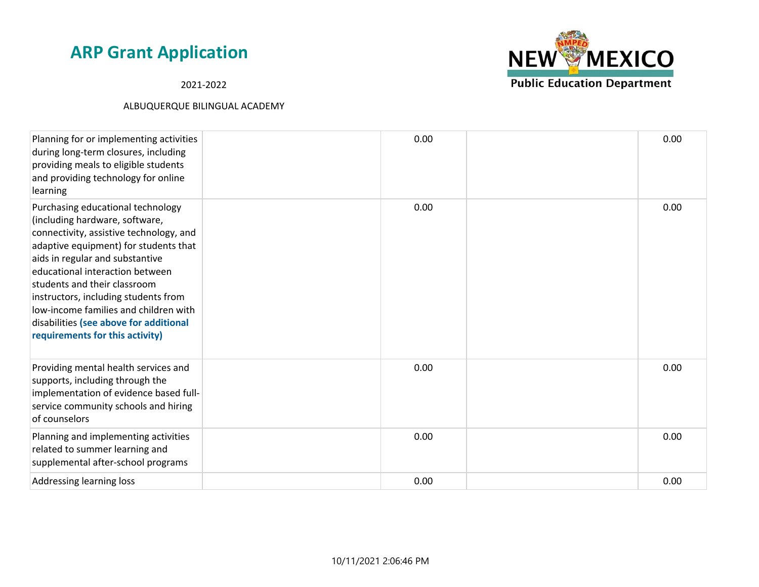2021-2022



| Planning for or implementing activities<br>during long-term closures, including<br>providing meals to eligible students<br>and providing technology for online<br>learning                                                                                                                                                                                                                                                  | 0.00 | 0.00 |
|-----------------------------------------------------------------------------------------------------------------------------------------------------------------------------------------------------------------------------------------------------------------------------------------------------------------------------------------------------------------------------------------------------------------------------|------|------|
| Purchasing educational technology<br>(including hardware, software,<br>connectivity, assistive technology, and<br>adaptive equipment) for students that<br>aids in regular and substantive<br>educational interaction between<br>students and their classroom<br>instructors, including students from<br>low-income families and children with<br>disabilities (see above for additional<br>requirements for this activity) | 0.00 | 0.00 |
| Providing mental health services and<br>supports, including through the<br>implementation of evidence based full-<br>service community schools and hiring<br>of counselors                                                                                                                                                                                                                                                  | 0.00 | 0.00 |
| Planning and implementing activities<br>related to summer learning and<br>supplemental after-school programs                                                                                                                                                                                                                                                                                                                | 0.00 | 0.00 |
| Addressing learning loss                                                                                                                                                                                                                                                                                                                                                                                                    | 0.00 | 0.00 |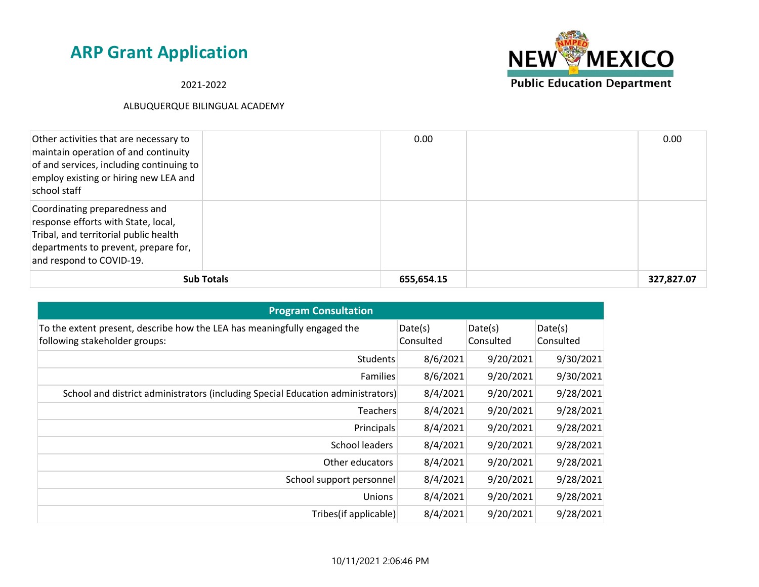2021-2022



| Other activities that are necessary to<br>maintain operation of and continuity<br>of and services, including continuing to<br>employ existing or hiring new LEA and<br>school staff |                   | 0.00       | 0.00       |
|-------------------------------------------------------------------------------------------------------------------------------------------------------------------------------------|-------------------|------------|------------|
| Coordinating preparedness and<br>response efforts with State, local,<br>Tribal, and territorial public health<br>departments to prevent, prepare for,<br>and respond to COVID-19.   |                   |            |            |
|                                                                                                                                                                                     | <b>Sub Totals</b> | 655,654.15 | 327,827.07 |

| <b>Program Consultation</b>                                                                               |                      |                      |                      |
|-----------------------------------------------------------------------------------------------------------|----------------------|----------------------|----------------------|
| To the extent present, describe how the LEA has meaningfully engaged the<br>following stakeholder groups: | Date(s)<br>Consulted | Date(s)<br>Consulted | Date(s)<br>Consulted |
| <b>Students</b>                                                                                           | 8/6/2021             | 9/20/2021            | 9/30/2021            |
| <b>Families</b>                                                                                           | 8/6/2021             | 9/20/2021            | 9/30/2021            |
| School and district administrators (including Special Education administrators)                           | 8/4/2021             | 9/20/2021            | 9/28/2021            |
| Teachers                                                                                                  | 8/4/2021             | 9/20/2021            | 9/28/2021            |
| Principals                                                                                                | 8/4/2021             | 9/20/2021            | 9/28/2021            |
| School leaders                                                                                            | 8/4/2021             | 9/20/2021            | 9/28/2021            |
| Other educators                                                                                           | 8/4/2021             | 9/20/2021            | 9/28/2021            |
| School support personnel                                                                                  | 8/4/2021             | 9/20/2021            | 9/28/2021            |
| <b>Unions</b>                                                                                             | 8/4/2021             | 9/20/2021            | 9/28/2021            |
| Tribes(if applicable)                                                                                     | 8/4/2021             | 9/20/2021            | 9/28/2021            |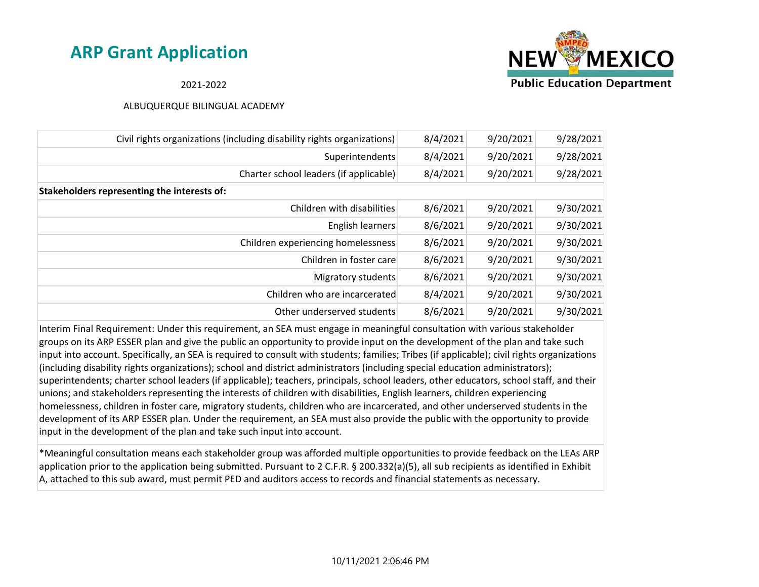

### 2021-2022

#### ALBUQUERQUE BILINGUAL ACADEMY

| Civil rights organizations (including disability rights organizations) | 8/4/2021 | 9/20/2021 | 9/28/2021 |
|------------------------------------------------------------------------|----------|-----------|-----------|
| Superintendents                                                        | 8/4/2021 | 9/20/2021 | 9/28/2021 |
| Charter school leaders (if applicable)                                 | 8/4/2021 | 9/20/2021 | 9/28/2021 |
| Stakeholders representing the interests of:                            |          |           |           |
| Children with disabilities                                             | 8/6/2021 | 9/20/2021 | 9/30/2021 |
| English learners                                                       | 8/6/2021 | 9/20/2021 | 9/30/2021 |
| Children experiencing homelessness                                     | 8/6/2021 | 9/20/2021 | 9/30/2021 |
| Children in foster care                                                | 8/6/2021 | 9/20/2021 | 9/30/2021 |
| Migratory students                                                     | 8/6/2021 | 9/20/2021 | 9/30/2021 |
| Children who are incarcerated                                          | 8/4/2021 | 9/20/2021 | 9/30/2021 |
| Other underserved students                                             | 8/6/2021 | 9/20/2021 | 9/30/2021 |

Interim Final Requirement: Under this requirement, an SEA must engage in meaningful consultation with various stakeholder groups on its ARP ESSER plan and give the public an opportunity to provide input on the development of the plan and take such input into account. Specifically, an SEA is required to consult with students; families; Tribes (if applicable); civil rights organizations (including disability rights organizations); school and district administrators (including special education administrators); superintendents; charter school leaders (if applicable); teachers, principals, school leaders, other educators, school staff, and their unions; and stakeholders representing the interests of children with disabilities, English learners, children experiencing homelessness, children in foster care, migratory students, children who are incarcerated, and other underserved students in the development of its ARP ESSER plan. Under the requirement, an SEA must also provide the public with the opportunity to provide input in the development of the plan and take such input into account.

\*Meaningful consultation means each stakeholder group was afforded multiple opportunities to provide feedback on the LEAs ARP application prior to the application being submitted. Pursuant to 2 C.F.R. § 200.332(a)(5), all sub recipients as identified in Exhibit A, attached to this sub award, must permit PED and auditors access to records and financial statements as necessary.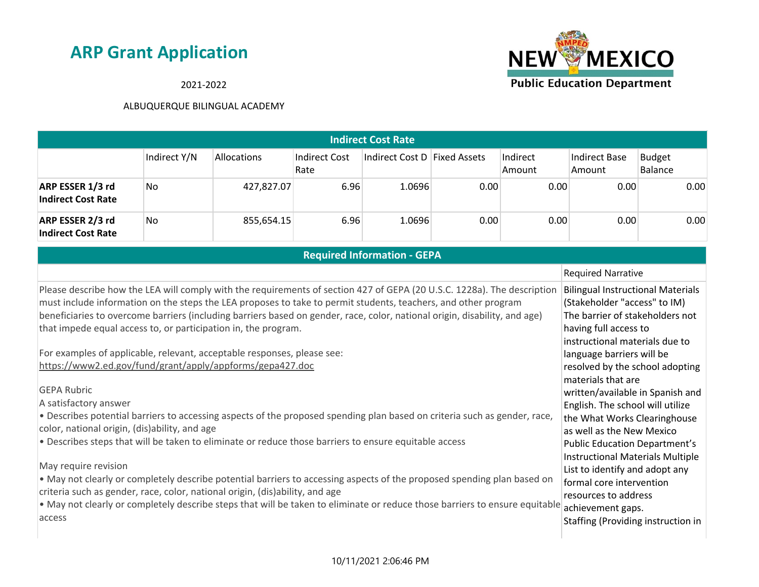

### 2021-2022

| Indirect Cost Rate                            |              |             |                       |                              |      |                    |                         |                          |  |  |
|-----------------------------------------------|--------------|-------------|-----------------------|------------------------------|------|--------------------|-------------------------|--------------------------|--|--|
|                                               | Indirect Y/N | Allocations | Indirect Cost<br>Rate | Indirect Cost D Fixed Assets |      | Indirect<br>Amount | Indirect Base<br>Amount | <b>Budget</b><br>Balance |  |  |
| ARP ESSER 1/3 rd<br><b>Indirect Cost Rate</b> | No.          | 427,827.07  | 6.96                  | 1.0696                       | 0.00 | 0.00               | 0.00                    | 0.00                     |  |  |
| ARP ESSER 2/3 rd<br><b>Indirect Cost Rate</b> | No           | 855,654.15  | 6.96                  | 1.0696                       | 0.00 | 0.00               | 0.00                    | 0.00                     |  |  |
| <b>Best Coast Information OFBA</b>            |              |             |                       |                              |      |                    |                         |                          |  |  |

| Required Information - GEPA                                                                                                                                                                                                               |                                                                                 |  |  |  |  |
|-------------------------------------------------------------------------------------------------------------------------------------------------------------------------------------------------------------------------------------------|---------------------------------------------------------------------------------|--|--|--|--|
|                                                                                                                                                                                                                                           | <b>Required Narrative</b>                                                       |  |  |  |  |
| Please describe how the LEA will comply with the requirements of section 427 of GEPA (20 U.S.C. 1228a). The description<br>must include information on the steps the LEA proposes to take to permit students, teachers, and other program | <b>Bilingual Instructional Materials</b><br>(Stakeholder "access" to IM)        |  |  |  |  |
| beneficiaries to overcome barriers (including barriers based on gender, race, color, national origin, disability, and age)<br>that impede equal access to, or participation in, the program.                                              | The barrier of stakeholders not<br>having full access to                        |  |  |  |  |
| For examples of applicable, relevant, acceptable responses, please see:                                                                                                                                                                   | instructional materials due to<br>language barriers will be                     |  |  |  |  |
| https://www2.ed.gov/fund/grant/apply/appforms/gepa427.doc                                                                                                                                                                                 | resolved by the school adopting<br>materials that are                           |  |  |  |  |
| <b>GEPA Rubric</b>                                                                                                                                                                                                                        | written/available in Spanish and                                                |  |  |  |  |
| A satisfactory answer                                                                                                                                                                                                                     | English. The school will utilize                                                |  |  |  |  |
| . Describes potential barriers to accessing aspects of the proposed spending plan based on criteria such as gender, race,<br>color, national origin, (dis)ability, and age                                                                | the What Works Clearinghouse<br>as well as the New Mexico                       |  |  |  |  |
| . Describes steps that will be taken to eliminate or reduce those barriers to ensure equitable access                                                                                                                                     | <b>Public Education Department's</b><br><b>Instructional Materials Multiple</b> |  |  |  |  |
| May require revision                                                                                                                                                                                                                      | List to identify and adopt any                                                  |  |  |  |  |
| . May not clearly or completely describe potential barriers to accessing aspects of the proposed spending plan based on                                                                                                                   | formal core intervention                                                        |  |  |  |  |
| criteria such as gender, race, color, national origin, (dis)ability, and age                                                                                                                                                              | resources to address                                                            |  |  |  |  |
| . May not clearly or completely describe steps that will be taken to eliminate or reduce those barriers to ensure equitable                                                                                                               | achievement gaps.                                                               |  |  |  |  |
| access                                                                                                                                                                                                                                    | Staffing (Providing instruction in                                              |  |  |  |  |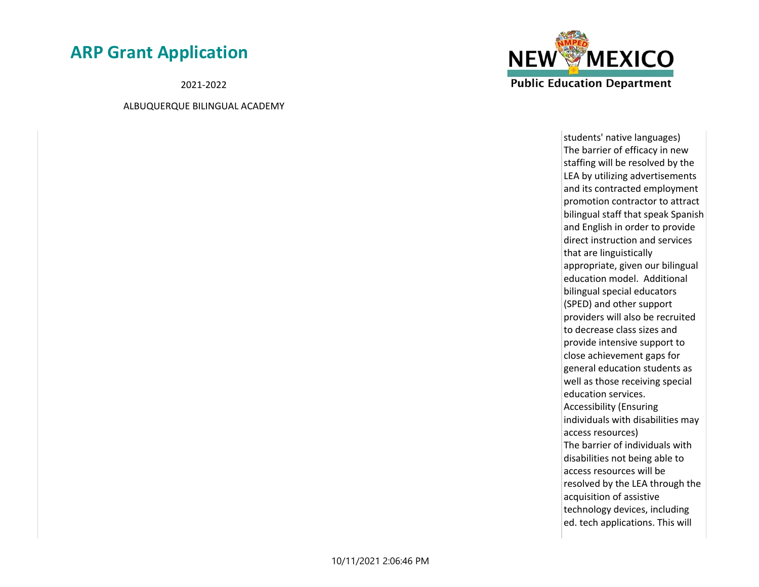2021-2022

ALBUQUERQUE BILINGUAL ACADEMY



students' native languages) The barrier of efficacy in new staffing will be resolved by the LEA by utilizing advertisements and its contracted employment promotion contractor to attract bilingual staff that speak Spanish and English in order to provide direct instruction and services that are linguistically appropriate, given our bilingual education model. Additional bilingual special educators (SPED) and other support providers will also be recruited to decrease class sizes and provide intensive support to close achievement gaps for general education students as well as those receiving special education services. Accessibility (Ensuring individuals with disabilities may access resources) The barrier of individuals with disabilities not being able to access resources will be resolved by the LEA through the acquisition of assistive technology devices, including ed. tech applications. This will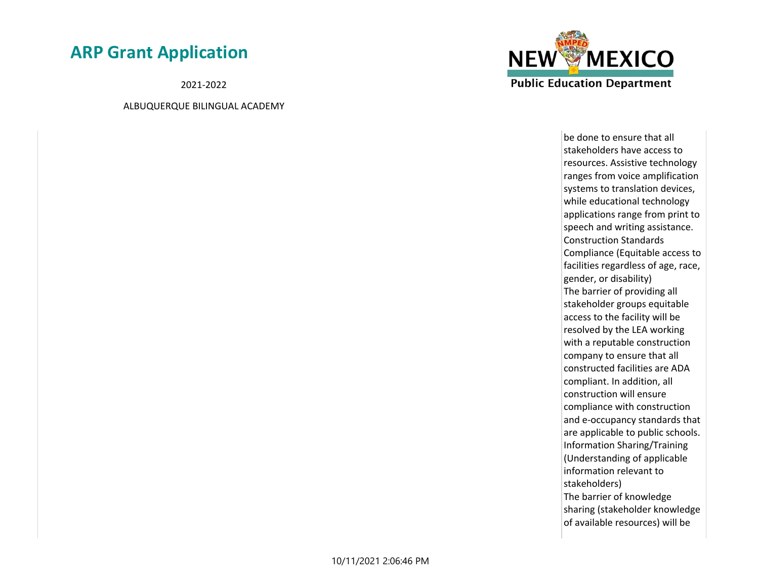2021-2022

ALBUQUERQUE BILINGUAL ACADEMY



be done to ensure that all stakeholders have access to resources. Assistive technology ranges from voice amplification systems to translation devices, while educational technology applications range from print to speech and writing assistance. Construction Standards Compliance (Equitable access to facilities regardless of age, race, gender, or disability) The barrier of providing all stakeholder groups equitable access to the facility will be resolved by the LEA working with a reputable construction company to ensure that all constructed facilities are ADA compliant. In addition, all construction will ensure compliance with construction and e-occupancy standards that are applicable to public schools. Information Sharing/Training (Understanding of applicable information relevant to stakeholders) The barrier of knowledge sharing (stakeholder knowledge of available resources) will be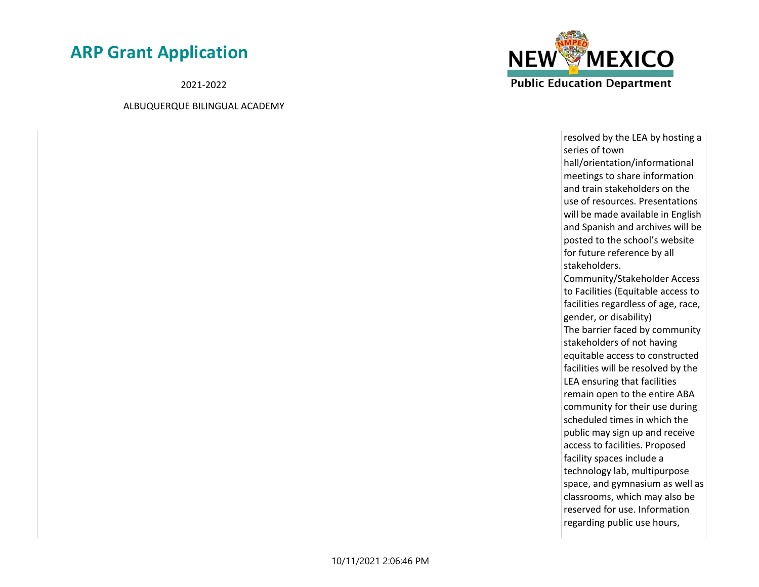2021-2022

ALBUQUERQUE BILINGUAL ACADEMY



resolved by the LEA by hosting a series of town hall/orientation/informational meetings to share information and train stakeholders on the use of resources. Presentations will be made available in English and Spanish and archives will be posted to the school's website for future reference by all stakeholders. Community/Stakeholder Access to Facilities (Equitable access to facilities regardless of age, race, gender, or disability) The barrier faced by community stakeholders of not having equitable access to constructed facilities will be resolved by the LEA ensuring that facilities remain open to the entire ABA community for their use during scheduled times in which the public may sign up and receive access to facilities. Proposed facility spaces include a technology lab, multipurpose space, and gymnasium as well as classrooms, which may also be reserved for use. Information regarding public use hours,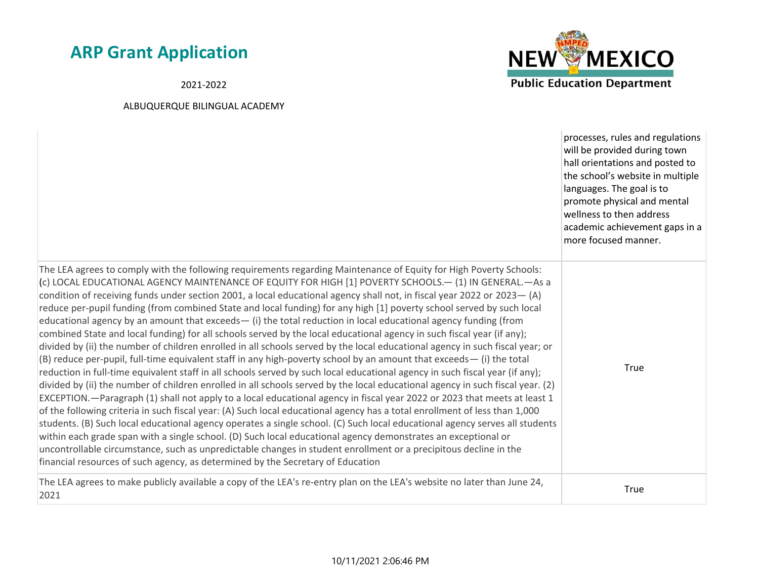2021-2022



| The LEA agrees to comply with the following requirements regarding Maintenance of Equity for High Poverty Schools:<br>(c) LOCAL EDUCATIONAL AGENCY MAINTENANCE OF EQUITY FOR HIGH [1] POVERTY SCHOOLS.- (1) IN GENERAL.-As a<br>condition of receiving funds under section 2001, a local educational agency shall not, in fiscal year 2022 or 2023 - (A)<br>reduce per-pupil funding (from combined State and local funding) for any high [1] poverty school served by such local<br>educational agency by an amount that exceeds $-$ (i) the total reduction in local educational agency funding (from<br>combined State and local funding) for all schools served by the local educational agency in such fiscal year (if any);<br>divided by (ii) the number of children enrolled in all schools served by the local educational agency in such fiscal year; or<br>(B) reduce per-pupil, full-time equivalent staff in any high-poverty school by an amount that exceeds—(i) the total<br>reduction in full-time equivalent staff in all schools served by such local educational agency in such fiscal year (if any);<br>divided by (ii) the number of children enrolled in all schools served by the local educational agency in such fiscal year. (2)<br>EXCEPTION. - Paragraph (1) shall not apply to a local educational agency in fiscal year 2022 or 2023 that meets at least 1<br>of the following criteria in such fiscal year: (A) Such local educational agency has a total enrollment of less than 1,000<br>students. (B) Such local educational agency operates a single school. (C) Such local educational agency serves all students<br>within each grade span with a single school. (D) Such local educational agency demonstrates an exceptional or<br>uncontrollable circumstance, such as unpredictable changes in student enrollment or a precipitous decline in the<br>financial resources of such agency, as determined by the Secretary of Education | processes, rules and regulations<br>will be provided during town<br>hall orientations and posted to<br>the school's website in multiple<br>languages. The goal is to<br>promote physical and mental<br>wellness to then address<br>academic achievement gaps in a<br>more focused manner. |
|--------------------------------------------------------------------------------------------------------------------------------------------------------------------------------------------------------------------------------------------------------------------------------------------------------------------------------------------------------------------------------------------------------------------------------------------------------------------------------------------------------------------------------------------------------------------------------------------------------------------------------------------------------------------------------------------------------------------------------------------------------------------------------------------------------------------------------------------------------------------------------------------------------------------------------------------------------------------------------------------------------------------------------------------------------------------------------------------------------------------------------------------------------------------------------------------------------------------------------------------------------------------------------------------------------------------------------------------------------------------------------------------------------------------------------------------------------------------------------------------------------------------------------------------------------------------------------------------------------------------------------------------------------------------------------------------------------------------------------------------------------------------------------------------------------------------------------------------------------------------------------------------------------------------------------------------------------------------------------|-------------------------------------------------------------------------------------------------------------------------------------------------------------------------------------------------------------------------------------------------------------------------------------------|
|                                                                                                                                                                                                                                                                                                                                                                                                                                                                                                                                                                                                                                                                                                                                                                                                                                                                                                                                                                                                                                                                                                                                                                                                                                                                                                                                                                                                                                                                                                                                                                                                                                                                                                                                                                                                                                                                                                                                                                                | True                                                                                                                                                                                                                                                                                      |
| The LEA agrees to make publicly available a copy of the LEA's re-entry plan on the LEA's website no later than June 24,<br>2021                                                                                                                                                                                                                                                                                                                                                                                                                                                                                                                                                                                                                                                                                                                                                                                                                                                                                                                                                                                                                                                                                                                                                                                                                                                                                                                                                                                                                                                                                                                                                                                                                                                                                                                                                                                                                                                | True                                                                                                                                                                                                                                                                                      |